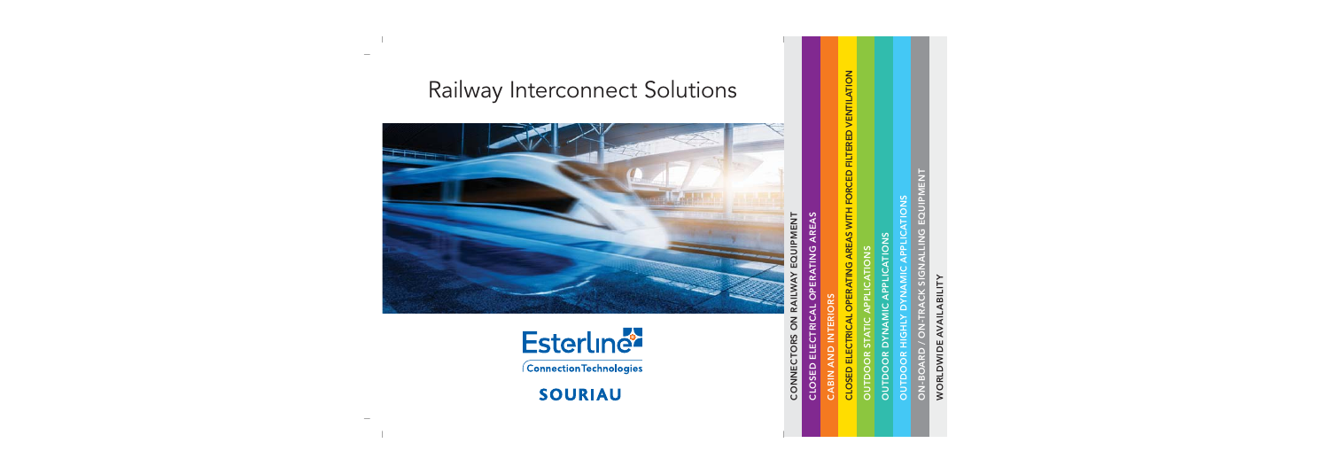# WORLDWIDE AVAILABILITY WORLDWIDE AVAILABILITY

ON-BOARD / ON-TRACK SIGNALLING EQUIPMENT EQUIPMENT ON-BOARD / ON-TRACK SIGNALLING

OUTDOOR HIGHLY DYNAMIC APPLICATIONS

**OUTDOOR HIGHLY DYNAMIC APPLICATIONS** 

CLOSED ELECTRICAL OPERATING AREAS

CLOSED ELECTRICAL OPERATING AREAS

CABIN AND INTERIORS

CABIN AND INTERIORS

CLOSED ELECTRICAL OPERATING AREAS WITH FORCED FILTERED VENTILATION

CLOSED ELECTRICAL OPERATING AREAS WITH FORCED FILTERED VENTILATION

OUTDOOR STATIC APPLICATIONS OUTDOOR DYNAMIC APPLICATIONS

**OUTDOOR DYNAMIC APPLICATIONS OUTDOOR STATIC APPLICATIONS** 

Railway Interconnect Solutions





Connection Technologies

**SOURIAU**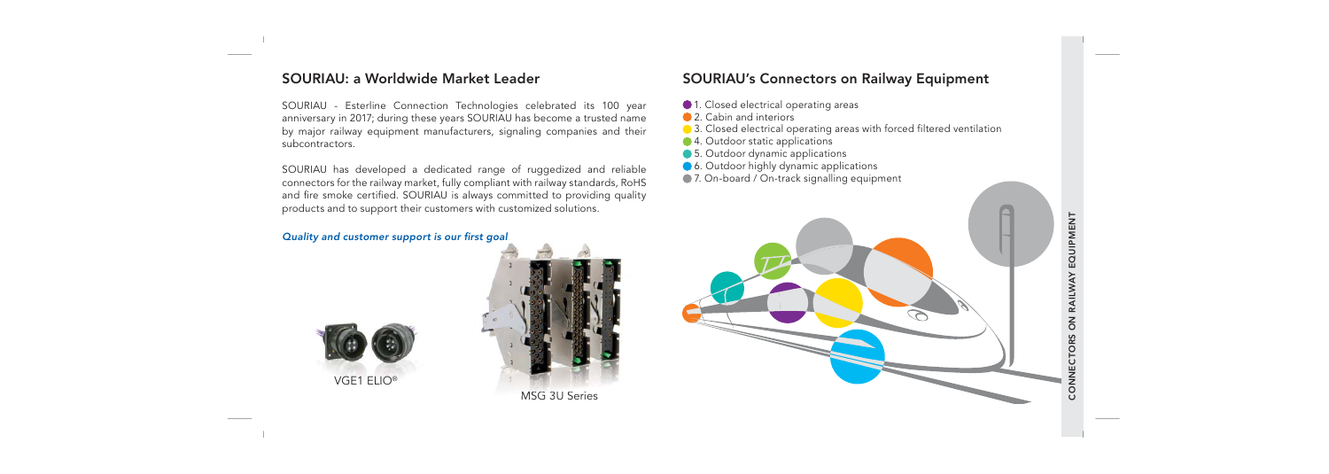#### SOURIAU: a Worldwide Market Leader

SOURIAU - Esterline Connection Technologies celebrated its 100 year anniversary in 2017; during these years SOURIAU has become a trusted name by major railway equipment manufacturers, signaling companies and their subcontractors.

SOURIAU has developed a dedicated range of ruggedized and reliable connectors for the railway market, fully compliant with railway standards, RoHS and fire smoke certified. SOURIAU is always committed to providing quality products and to support their customers with customized solutions.

#### Quality and customer support is our first goal





# SOURIAU's Connectors on Railway Equipment

- $\bigcirc$  1. Closed electrical operating areas
- **2.** Cabin and interiors
- 3. Closed electrical operating areas with forced filtered ventilation
- 4. Outdoor static applications
- **5.** Outdoor dynamic applications
- **6.** Outdoor highly dynamic applications
- 7. On-board / On-track signalling equipment

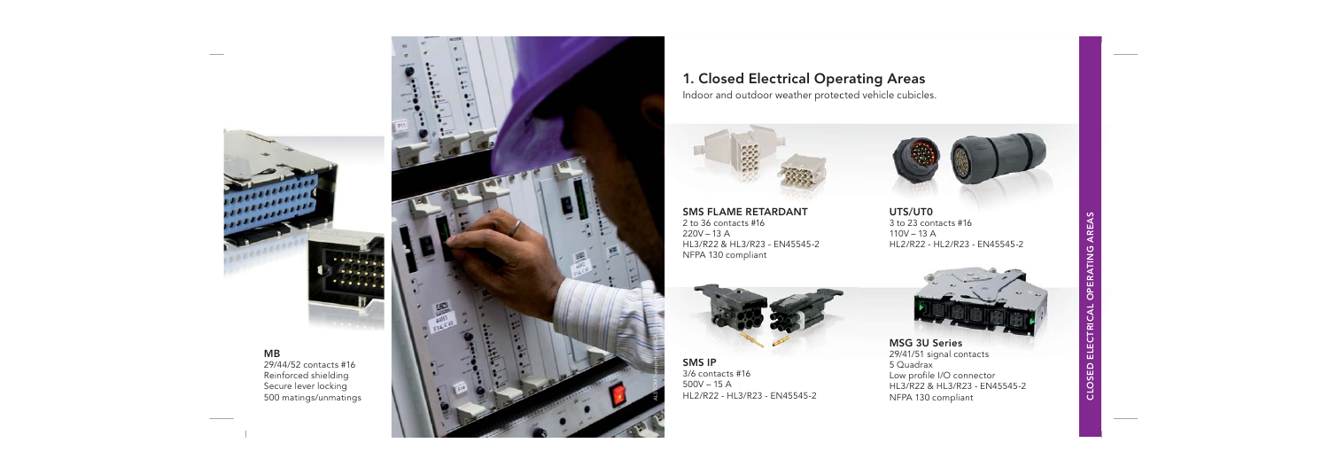

1000000 

> 29/44/52 contacts #16Reinforced shielding Secure lever locking 500 matings/unmatings



#### 1. Closed Electrical Operating Areas

Indoor and outdoor weather protected vehicle cubicles.



**SMS FLAME RETARDANT** 2 to 36 contacts #16 $220V - 13$  A HL3/R22 & HL3/R23 - EN45545-2NFPA 130 compliant

HL2/R22 - HL3/R23 - EN45545-2

SMS IP $3/6$  contacts  $#16$  $500V - 15A$ 



UTS/UT0 3 to 23 contacts #16 $110V - 13$  A HL2/R22 - HL2/R23 - EN45545-2



MSG 3U Series 29/41/51 signal contacts 5 QuadraxLow profile I/O connector HL3/R22 & HL3/R23 - EN45545-2HL3/R22 & HL3/R23NFPA 130 compliant MSG 3U Series<br>
SMS IP<br>
3/6 contacts #16<br>
500V – 15 A<br>
HL2/R22 - HL3/R23 - EN45545-2<br>
PLACE – SALLAR – SALLAR – SALLAR – SALLAR – SALLAR – SALLAR – SALLAR – SALLAR – SALLAR – SALLAR – SALLAR – SALLAR – SALLAR – SALLAR – SAL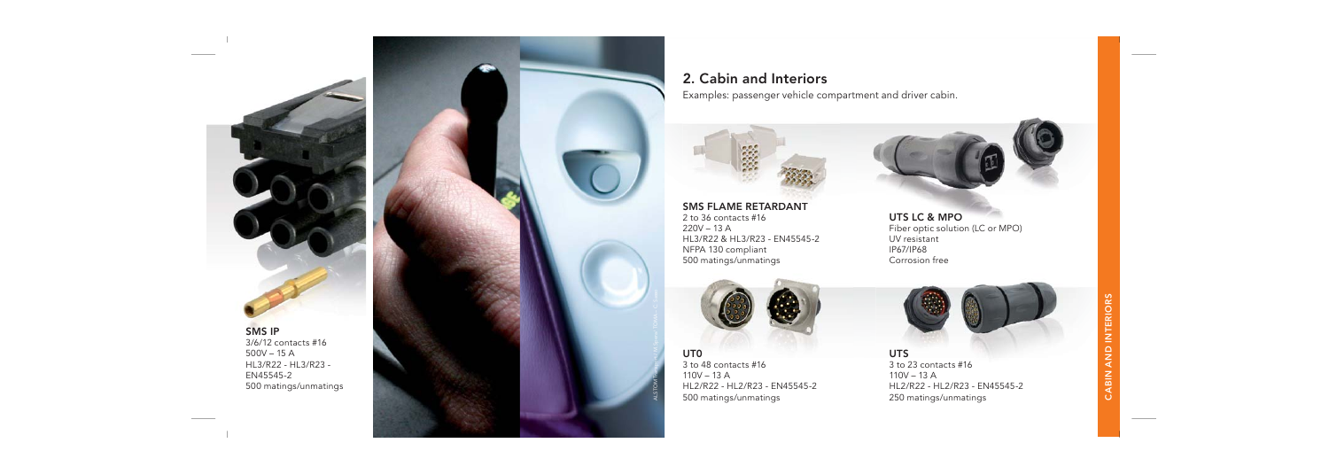SMS IP3/6/12 contacts #16 500V – 15 AHL3/R22 - HL3/R23 - EN45545-2500 matings/unmatings



#### 2. Cabin and Interiors

Examples: passenger vehicle compartment and driver cabin.





SMS FLAME RETARDANT2 to 36 contacts #162 to 36 contacts  $220V - 13A$  HL3/R22 & HL3/R23 - EN45545-2NFPA 130 compliant 500 matings/unmatings





UT0 3 to 48 contacts #16 $110V - 13$  A HL2/R22 - HL2/R23 - EN45545-2 500 matings/unmatings

ALSTOM Transport / M.Spera/ TOMA – C. Sasso

UTS 3 to 23 contacts #16  $110V - 13A$ HL2/R22 - HL2/R23 - EN45545-2 250 matings/unmatings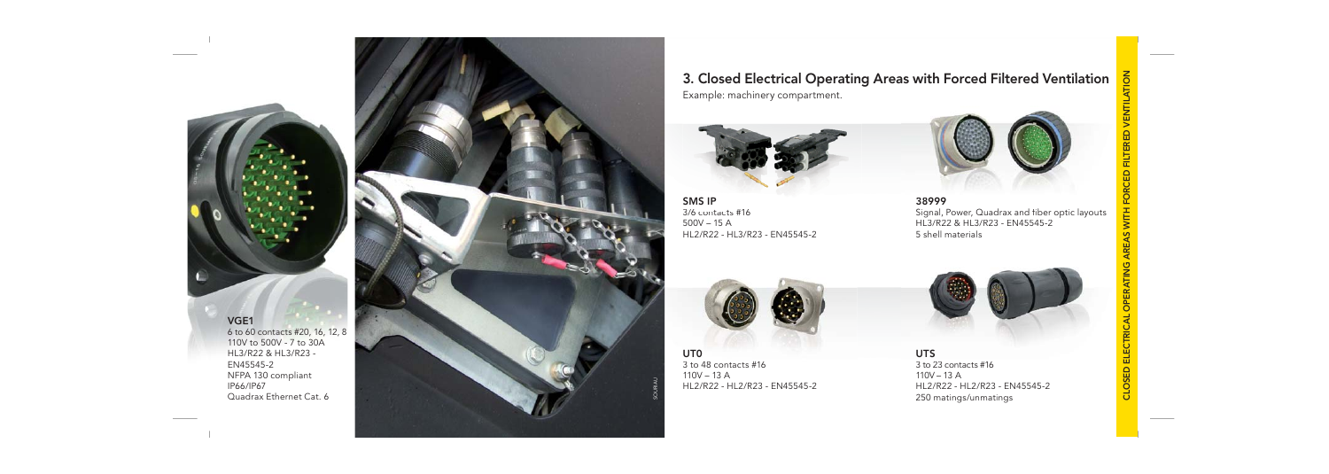

6 to 60 contacts #20, 16, 12, 8 110V to 500V - 7 to 30AHL3/R22 & HL3/R23 - EN45545-2NFPA 130 compliant IP66/IP67 Quadrax Ethernet Cat. 6



3. Closed Electrical Operating Areas with Forced Filtered Ventilation Example: machinery compartment.







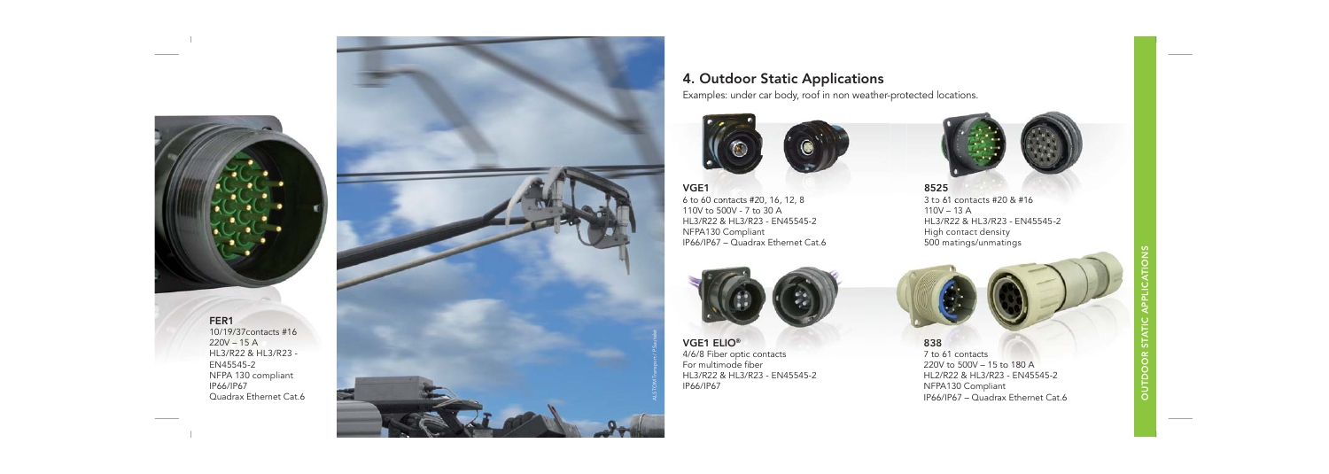

#### FER1

 10/19/37contacts #16220V – 15 AHL3/R22 & HL3/R23 - EN45545-2NFPA 130 compliant IP66/IP67Quadrax Ethernet Cat.6



## 4. Outdoor Static Applications

Examples: under car body, roof in non weather-protected locations.



#### VGE1

 6 to 60 contacts #20, 16, 12, 8 110V to 500V - 7 to 30 AHL3/R22 & HL3/R23 - EN45545-2NFPA130 Compliant IP66/IP67 – Quadrax Ethernet Cat.6



VGE1 ELIO® 4/6/8 Fiber optic contacts For multimode fiber HL3/R22 & HL3/R23 - EN45545-2IP66/IP67





NFPA130 Compliant IP66/IP67 – Quadrax Ethernet Cat.6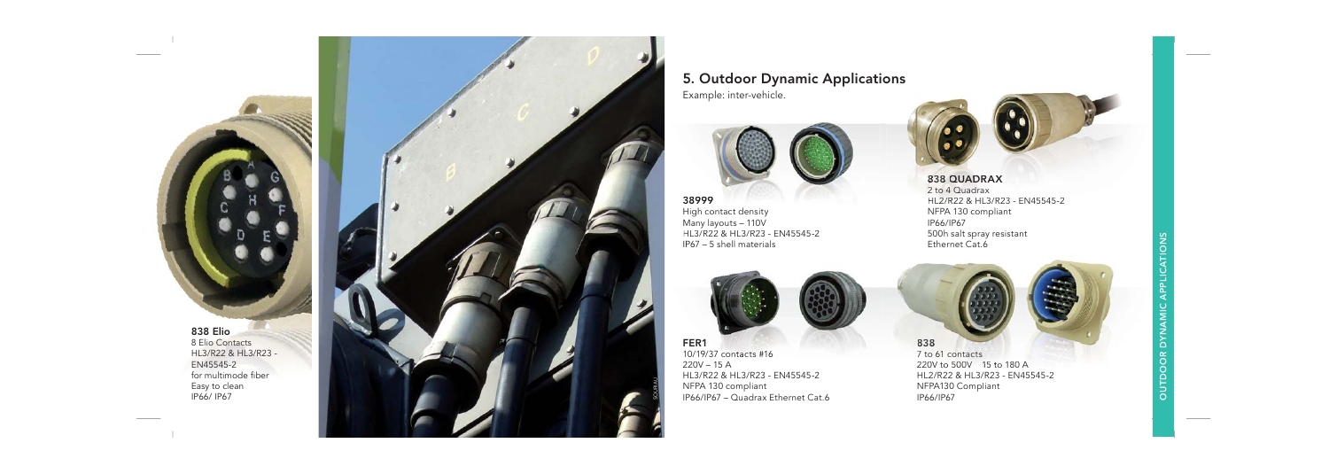

# 5. Outdoor Dynamic Applications

Example: inter-vehicle.



38999High contact density Many layouts – 110V HL3/R22 & HL3/R23 - EN45545-2IP67 – 5 shell materials



FER110/19/37 contacts #16 220V – 15 A HL3/R22 & HL3/R23 - EN45545-2NFPA 130 compliant IP66/IP67 – Quadrax Ethernet Cat.6



2 to 4 Quadrax HL2/R22 & HL3/R23 - EN45545-2 NFPA 130 compliant compliantIP66/IP67 500h salt spray resistant Ethernet Cat.6



7 to 61 contacts220V to 500V – 15 to 180 AHL2/R22 & HL3/R23 - EN45545-2NFPA130 Compliant IP66/IP67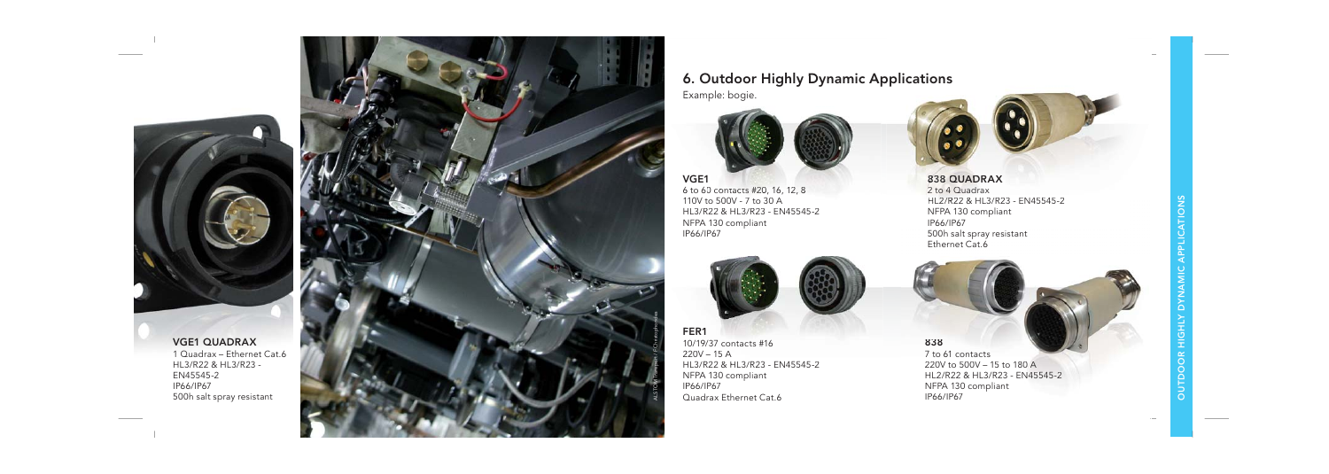

HL3/R22 & HL3/R23 - EN45545-2IP66/IP67500h salt spray resistant



Example: bogie.



VGE1

6 to 60 contacts #20, 16, 12, 8 110V to 500V - 7 to 30 A110V to 500V - 7 to 30 A<br>HL3/R22 & HL3/R23 - EN45545-2 NFPA 130 compliant IP66/IP67 P



FER1 10/19/37 contacts #16 220V – 15 A HL3/R22 & HL3/R23 - EN45545-2 &NFPA 130 compliant IP66/IP67 Quadrax Ethernet Cat.61L3/R22 & HL3/R23 - EN45545-2 220V to 500V – 15 to 180<br>VFPA 130 compliant HL2/R22 & HL3/R23 - EN<br>P66/IP67 NFPA 130 compliant **FER1**<br>
10/19/37 contacts #16<br>
220V – 15 A<br>
HL3/R22 & HL3/R23 - EN45545-2<br>
NFPA 130 compliant<br>
220V to 500V – 15 to<br>
12/R22 & HL3/R23 -<br>
220V to 500V – 15 to<br>
12/R22 & HL3/R23 -<br>
220V to 500V – 15 to<br>
12/R22 & HL3/R23 -<br>



838 QUADRAX2 to 4 Quadrax HL2/R22 & HL3/R23 - EN45545-2HL2/R22 &NFPA 130 compliant IP66/IP67 500h salt spray resistant Ethernet Cat.6



IP66/IP67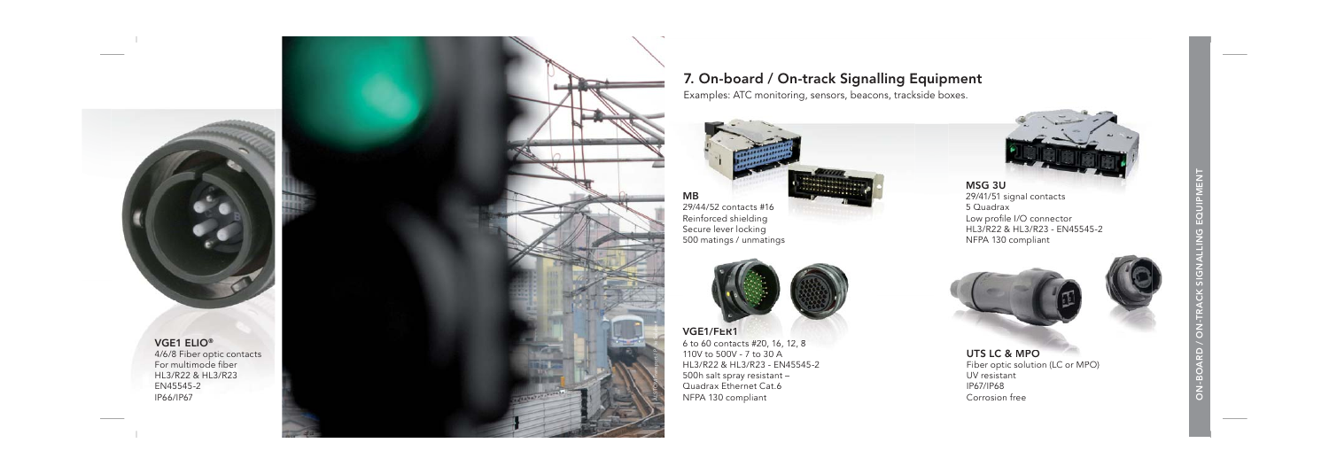VGE1 ELIO® 4/6/8 Fiber optic contacts For multimode fiber HL3/R22 & HL3/R23EN45545-2IP66/IP67



## 7. On-board / On-track Signalling Equipment Signalling E

Examples: ATC monitoring, sensors, beacons, trackside boxes. track



 29/44/52lever lockind matings / unmating





MSG 3U 29/41/51 signal contacts 5 Quadrax29/41/51 signal contacts<br>5 Quadrax<br>Low profile I/O connector<br>HL3/R22 & HL3/R23 - EN4 HL3/R22 & HL3/R23 - EN45545-2 - NFPA 130 compliant





UTS LC & MPOFiber optic solution (LC or MPO) Fiber optic solution (LC or UV resistant IP67/IP68Corrosion free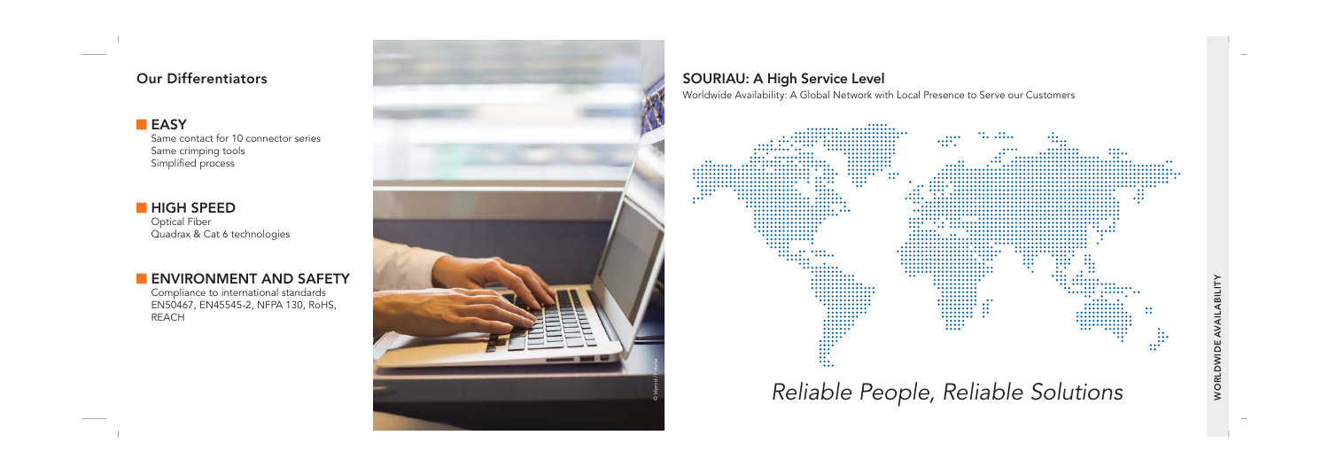#### Our Differentiators

#### **EASY**

 Same contact for 10 connector series Same crimping tools Simplified process

#### **HIGH SPEED**  Optical Fiber Quadrax & Cat 6 technologies

### **ENVIRONMENT AND SAFETY**

 Compliance to international standards EN50467, EN45545-2, NFPA 130, RoHS, REACH



## SOURIAU: A High Service Level

Worldwide Availability: A Global Network with Local Presence to Serve our Customers

| <br>                                     |                         |                                   |                                                                                         |                     |                                     |                        |
|------------------------------------------|-------------------------|-----------------------------------|-----------------------------------------------------------------------------------------|---------------------|-------------------------------------|------------------------|
|                                          |                         |                                   | $\begin{array}{cccccccccccccc} \bullet & \bullet & & & & \bullet & \bullet \end{array}$ | ٠                   |                                     |                        |
| .                                        |                         |                                   |                                                                                         | $\cdots$            |                                     |                        |
| .<br>                                    |                         | <br>$\bullet\bullet\quad \bullet$ |                                                                                         |                     |                                     |                        |
| <br>                                     |                         |                                   |                                                                                         | $^{\circ}$<br>      | $\cdots$                            |                        |
| $\bullet$ $\bullet$ $\bullet$<br><br>    |                         |                                   | $\bullet$                                                                               |                     |                                     |                        |
| <br><br>                                 |                         |                                   |                                                                                         |                     | $\bullet$                           |                        |
| <br><br>$\bullet$                        |                         | $^{\circ}$                        |                                                                                         |                     |                                     | $\bullet$              |
| <br><br>                                 |                         |                                   |                                                                                         |                     |                                     |                        |
| *************** ********* * ***<br>      |                         |                                   |                                                                                         |                     |                                     |                        |
| <br><br>                                 | $\cdots$                |                                   |                                                                                         |                     |                                     |                        |
| <br>0.000                                | $\bullet$               |                                   |                                                                                         |                     |                                     |                        |
| <br>                                     |                         |                                   |                                                                                         |                     |                                     |                        |
| <br>$\bullet\bullet\bullet$<br>$\bullet$ |                         |                                   |                                                                                         |                     |                                     |                        |
| 0.000<br><br>                            | $\bullet$ $\bullet$     |                                   |                                                                                         |                     |                                     | $\bullet$              |
| <br>$\cdots$<br>                         |                         |                                   |                                                                                         |                     |                                     | $\bullet$              |
| <br>. .                                  |                         |                                   |                                                                                         |                     |                                     | $\cdots$               |
| **************** ********                |                         |                                   |                                                                                         |                     |                                     | $\bullet$              |
| <br>٠<br>******************** ***        |                         |                                   |                                                                                         |                     |                                     |                        |
|                                          |                         |                                   |                                                                                         |                     |                                     |                        |
|                                          |                         |                                   |                                                                                         |                     | ----------------------------------- |                        |
|                                          |                         |                                   |                                                                                         |                     | ٠                                   |                        |
|                                          | $\bullet\bullet\bullet$ |                                   |                                                                                         |                     |                                     |                        |
|                                          |                         |                                   |                                                                                         |                     |                                     |                        |
|                                          |                         |                                   |                                                                                         |                     | $\overline{\phantom{a}}$            |                        |
|                                          |                         |                                   |                                                                                         |                     |                                     |                        |
| <br>٠                                    |                         |                                   |                                                                                         |                     |                                     |                        |
|                                          |                         |                                   |                                                                                         |                     |                                     |                        |
|                                          |                         |                                   |                                                                                         |                     |                                     |                        |
|                                          |                         |                                   |                                                                                         | <br>$$              | $^{\circ}$                          |                        |
|                                          |                         |                                   |                                                                                         | $\cdots$<br>        | $\bullet$                           |                        |
| $\bullet\bullet\bullet$<br>٠             |                         |                                   |                                                                                         | <br>0.0.0           | $\bullet\bullet\bullet$             |                        |
|                                          |                         |                                   |                                                                                         | $\bullet$ $\bullet$ | $\bullet$                           |                        |
|                                          |                         | <br>                              |                                                                                         | $\bullet$           | $\bullet\quad \bullet\ \bullet$     |                        |
| <br>                                     | $\bullet$               |                                   |                                                                                         |                     | $\bullet$<br>$$                     |                        |
|                                          |                         |                                   |                                                                                         |                     |                                     |                        |
|                                          |                         |                                   |                                                                                         |                     | $$<br>$\bullet$ $\bullet$           |                        |
|                                          |                         |                                   |                                                                                         |                     |                                     |                        |
|                                          |                         |                                   |                                                                                         |                     | <br>$\bullet$                       |                        |
|                                          |                         |                                   | $^{\circ}$                                                                              |                     | $$                                  |                        |
|                                          |                         |                                   |                                                                                         |                     |                                     |                        |
|                                          |                         |                                   | $^{\circ}$                                                                              |                     |                                     | $^{\circ}$             |
|                                          |                         |                                   | $\bullet$                                                                               |                     |                                     | $^{\circ}$             |
|                                          |                         |                                   | $\bullet$                                                                               |                     |                                     |                        |
|                                          |                         |                                   |                                                                                         |                     |                                     |                        |
|                                          |                         |                                   |                                                                                         |                     |                                     |                        |
|                                          |                         |                                   |                                                                                         |                     | <br>$\cdots$                        | ٠                      |
|                                          |                         |                                   |                                                                                         |                     |                                     | $^{\circ}$             |
|                                          |                         |                                   |                                                                                         |                     | $\bullet$                           | 0.0.0                  |
| <br>0.0.0.0                              |                         |                                   |                                                                                         |                     | ٠                                   | $^{\circ}$<br>$\cdots$ |
| $\bullet\bullet\bullet$                  |                         |                                   |                                                                                         |                     |                                     | $^{\circ}$             |
| $\cdots$                                 |                         |                                   |                                                                                         |                     |                                     |                        |
| $^{\circ}$                               |                         |                                   |                                                                                         |                     |                                     |                        |
|                                          |                         |                                   |                                                                                         |                     |                                     |                        |
| $\bullet\bullet\bullet$                  |                         |                                   |                                                                                         |                     |                                     |                        |
|                                          |                         |                                   |                                                                                         |                     |                                     |                        |

*Reliable People, Reliable Solutions*